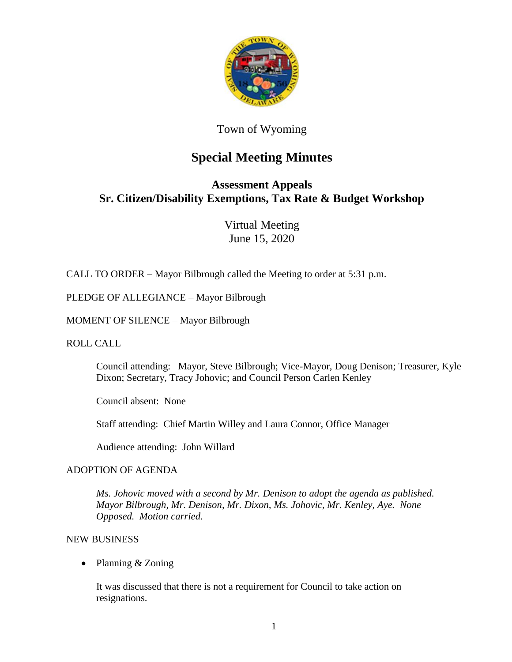

### Town of Wyoming

# **Special Meeting Minutes**

## **Assessment Appeals Sr. Citizen/Disability Exemptions, Tax Rate & Budget Workshop**

Virtual Meeting June 15, 2020

CALL TO ORDER – Mayor Bilbrough called the Meeting to order at 5:31 p.m.

PLEDGE OF ALLEGIANCE – Mayor Bilbrough

MOMENT OF SILENCE – Mayor Bilbrough

ROLL CALL

Council attending: Mayor, Steve Bilbrough; Vice-Mayor, Doug Denison; Treasurer, Kyle Dixon; Secretary, Tracy Johovic; and Council Person Carlen Kenley

Council absent: None

Staff attending: Chief Martin Willey and Laura Connor, Office Manager

Audience attending: John Willard

#### ADOPTION OF AGENDA

*Ms. Johovic moved with a second by Mr. Denison to adopt the agenda as published. Mayor Bilbrough, Mr. Denison, Mr. Dixon, Ms. Johovic, Mr. Kenley, Aye. None Opposed. Motion carried.*

#### NEW BUSINESS

• Planning & Zoning

It was discussed that there is not a requirement for Council to take action on resignations.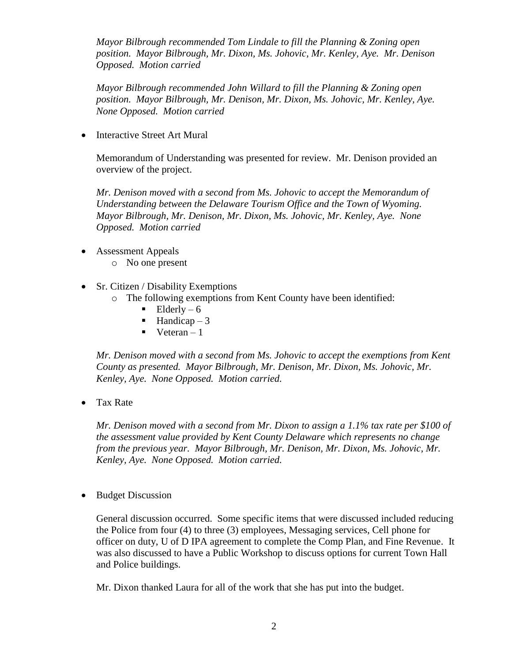*Mayor Bilbrough recommended Tom Lindale to fill the Planning & Zoning open position. Mayor Bilbrough, Mr. Dixon, Ms. Johovic, Mr. Kenley, Aye. Mr. Denison Opposed. Motion carried*

*Mayor Bilbrough recommended John Willard to fill the Planning & Zoning open position. Mayor Bilbrough, Mr. Denison, Mr. Dixon, Ms. Johovic, Mr. Kenley, Aye. None Opposed. Motion carried*

• Interactive Street Art Mural

Memorandum of Understanding was presented for review. Mr. Denison provided an overview of the project.

*Mr. Denison moved with a second from Ms. Johovic to accept the Memorandum of Understanding between the Delaware Tourism Office and the Town of Wyoming. Mayor Bilbrough, Mr. Denison, Mr. Dixon, Ms. Johovic, Mr. Kenley, Aye. None Opposed. Motion carried*

- Assessment Appeals
	- o No one present
- Sr. Citizen / Disability Exemptions
	- o The following exemptions from Kent County have been identified:
		- $\blacksquare$  Elderly 6
		- $\blacksquare$  Handicap 3
		- $\blacksquare$  Veteran 1

*Mr. Denison moved with a second from Ms. Johovic to accept the exemptions from Kent County as presented. Mayor Bilbrough, Mr. Denison, Mr. Dixon, Ms. Johovic, Mr. Kenley, Aye. None Opposed. Motion carried.*

• Tax Rate

*Mr. Denison moved with a second from Mr. Dixon to assign a 1.1% tax rate per \$100 of the assessment value provided by Kent County Delaware which represents no change from the previous year. Mayor Bilbrough, Mr. Denison, Mr. Dixon, Ms. Johovic, Mr. Kenley, Aye. None Opposed. Motion carried.*

Budget Discussion

General discussion occurred. Some specific items that were discussed included reducing the Police from four (4) to three (3) employees, Messaging services, Cell phone for officer on duty, U of D IPA agreement to complete the Comp Plan, and Fine Revenue. It was also discussed to have a Public Workshop to discuss options for current Town Hall and Police buildings.

Mr. Dixon thanked Laura for all of the work that she has put into the budget.